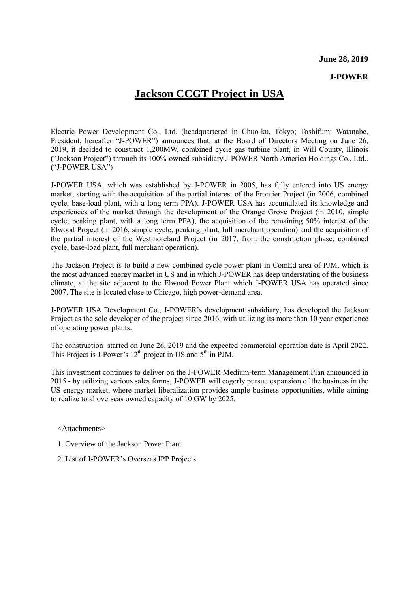#### **June 28, 2019**

#### **J-POWER**

# **Jackson CCGT Project in USA**

Electric Power Development Co., Ltd. (headquartered in Chuo-ku, Tokyo; Toshifumi Watanabe, President, hereafter "J-POWER") announces that, at the Board of Directors Meeting on June 26, 2019, it decided to construct 1,200MW, combined cycle gas turbine plant, in Will County, Illinois ("Jackson Project") through its 100%-owned subsidiary J-POWER North America Holdings Co., Ltd.. ("J-POWER USA")

J-POWER USA, which was established by J-POWER in 2005, has fully entered into US energy market, starting with the acquisition of the partial interest of the Frontier Project (in 2006, combined cycle, base-load plant, with a long term PPA). J-POWER USA has accumulated its knowledge and experiences of the market through the development of the Orange Grove Project (in 2010, simple cycle, peaking plant, with a long term PPA), the acquisition of the remaining 50% interest of the Elwood Project (in 2016, simple cycle, peaking plant, full merchant operation) and the acquisition of the partial interest of the Westmoreland Project (in 2017, from the construction phase, combined cycle, base-load plant, full merchant operation).

The Jackson Project is to build a new combined cycle power plant in ComEd area of PJM, which is the most advanced energy market in US and in which J-POWER has deep understating of the business climate, at the site adjacent to the Elwood Power Plant which J-POWER USA has operated since 2007. The site is located close to Chicago, high power-demand area.

J-POWER USA Development Co., J-POWER's development subsidiary, has developed the Jackson Project as the sole developer of the project since 2016, with utilizing its more than 10 year experience of operating power plants.

The construction started on June 26, 2019 and the expected commercial operation date is April 2022. This Project is J-Power's  $12<sup>th</sup>$  project in US and  $5<sup>th</sup>$  in PJM.

This investment continues to deliver on the J-POWER Medium-term Management Plan announced in 2015 - by utilizing various sales forms, J-POWER will eagerly pursue expansion of the business in the US energy market, where market liberalization provides ample business opportunities, while aiming to realize total overseas owned capacity of 10 GW by 2025.

<Attachments>

- 1. Overview of the Jackson Power Plant
- 2. List of J-POWER's Overseas IPP Projects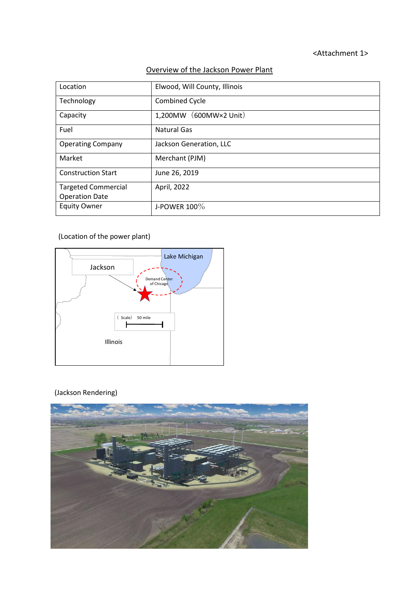### <Attachment 1>

## Overview of the Jackson Power Plant

| Location                                            | Elwood, Will County, Illinois |  |  |  |  |
|-----------------------------------------------------|-------------------------------|--|--|--|--|
| Technology                                          | <b>Combined Cycle</b>         |  |  |  |  |
| Capacity                                            | (600MW×2 Unit)<br>1,200MW     |  |  |  |  |
| Fuel                                                | Natural Gas                   |  |  |  |  |
| <b>Operating Company</b>                            | Jackson Generation, LLC       |  |  |  |  |
| Market                                              | Merchant (PJM)                |  |  |  |  |
| <b>Construction Start</b>                           | June 26, 2019                 |  |  |  |  |
| <b>Targeted Commercial</b><br><b>Operation Date</b> | April, 2022                   |  |  |  |  |
| <b>Equity Owner</b>                                 | J-POWER $100\%$               |  |  |  |  |

## (Location of the power plant)



### (Jackson Rendering)